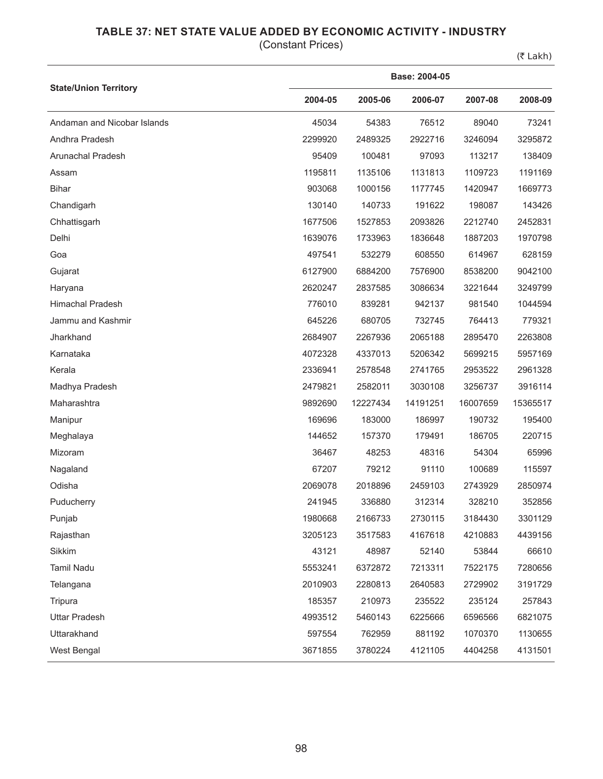## **TABLE 37: NET STATE VALUE ADDED BY ECONOMIC ACTIVITY - INDUSTRY**

(Constant Prices)

(₹ Lakh)

|                              | Base: 2004-05 |          |          |          |          |  |  |
|------------------------------|---------------|----------|----------|----------|----------|--|--|
| <b>State/Union Territory</b> | 2004-05       | 2005-06  | 2006-07  | 2007-08  | 2008-09  |  |  |
| Andaman and Nicobar Islands  | 45034         | 54383    | 76512    | 89040    | 73241    |  |  |
| Andhra Pradesh               | 2299920       | 2489325  | 2922716  | 3246094  | 3295872  |  |  |
| Arunachal Pradesh            | 95409         | 100481   | 97093    | 113217   | 138409   |  |  |
| Assam                        | 1195811       | 1135106  | 1131813  | 1109723  | 1191169  |  |  |
| <b>Bihar</b>                 | 903068        | 1000156  | 1177745  | 1420947  | 1669773  |  |  |
| Chandigarh                   | 130140        | 140733   | 191622   | 198087   | 143426   |  |  |
| Chhattisgarh                 | 1677506       | 1527853  | 2093826  | 2212740  | 2452831  |  |  |
| Delhi                        | 1639076       | 1733963  | 1836648  | 1887203  | 1970798  |  |  |
| Goa                          | 497541        | 532279   | 608550   | 614967   | 628159   |  |  |
| Gujarat                      | 6127900       | 6884200  | 7576900  | 8538200  | 9042100  |  |  |
| Haryana                      | 2620247       | 2837585  | 3086634  | 3221644  | 3249799  |  |  |
| <b>Himachal Pradesh</b>      | 776010        | 839281   | 942137   | 981540   | 1044594  |  |  |
| Jammu and Kashmir            | 645226        | 680705   | 732745   | 764413   | 779321   |  |  |
| Jharkhand                    | 2684907       | 2267936  | 2065188  | 2895470  | 2263808  |  |  |
| Karnataka                    | 4072328       | 4337013  | 5206342  | 5699215  | 5957169  |  |  |
| Kerala                       | 2336941       | 2578548  | 2741765  | 2953522  | 2961328  |  |  |
| Madhya Pradesh               | 2479821       | 2582011  | 3030108  | 3256737  | 3916114  |  |  |
| Maharashtra                  | 9892690       | 12227434 | 14191251 | 16007659 | 15365517 |  |  |
| Manipur                      | 169696        | 183000   | 186997   | 190732   | 195400   |  |  |
| Meghalaya                    | 144652        | 157370   | 179491   | 186705   | 220715   |  |  |
| Mizoram                      | 36467         | 48253    | 48316    | 54304    | 65996    |  |  |
| Nagaland                     | 67207         | 79212    | 91110    | 100689   | 115597   |  |  |
| Odisha                       | 2069078       | 2018896  | 2459103  | 2743929  | 2850974  |  |  |
| Puducherry                   | 241945        | 336880   | 312314   | 328210   | 352856   |  |  |
| Punjab                       | 1980668       | 2166733  | 2730115  | 3184430  | 3301129  |  |  |
| Rajasthan                    | 3205123       | 3517583  | 4167618  | 4210883  | 4439156  |  |  |
| Sikkim                       | 43121         | 48987    | 52140    | 53844    | 66610    |  |  |
| Tamil Nadu                   | 5553241       | 6372872  | 7213311  | 7522175  | 7280656  |  |  |
| Telangana                    | 2010903       | 2280813  | 2640583  | 2729902  | 3191729  |  |  |
| Tripura                      | 185357        | 210973   | 235522   | 235124   | 257843   |  |  |
| <b>Uttar Pradesh</b>         | 4993512       | 5460143  | 6225666  | 6596566  | 6821075  |  |  |
| Uttarakhand                  | 597554        | 762959   | 881192   | 1070370  | 1130655  |  |  |
| West Bengal                  | 3671855       | 3780224  | 4121105  | 4404258  | 4131501  |  |  |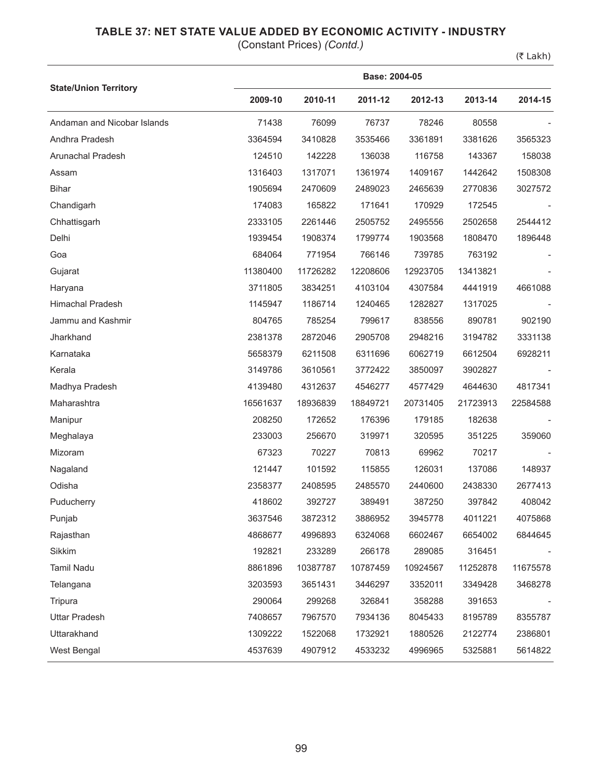## **TABLE 37: NET STATE VALUE ADDED BY ECONOMIC ACTIVITY - INDUSTRY**

(Constant Prices) *(Contd.)*

(₹ Lakh)

|                              |          | Base: 2004-05 |          |          |          |          |  |  |  |
|------------------------------|----------|---------------|----------|----------|----------|----------|--|--|--|
| <b>State/Union Territory</b> | 2009-10  | 2010-11       | 2011-12  | 2012-13  | 2013-14  | 2014-15  |  |  |  |
| Andaman and Nicobar Islands  | 71438    | 76099         | 76737    | 78246    | 80558    |          |  |  |  |
| Andhra Pradesh               | 3364594  | 3410828       | 3535466  | 3361891  | 3381626  | 3565323  |  |  |  |
| Arunachal Pradesh            | 124510   | 142228        | 136038   | 116758   | 143367   | 158038   |  |  |  |
| Assam                        | 1316403  | 1317071       | 1361974  | 1409167  | 1442642  | 1508308  |  |  |  |
| <b>Bihar</b>                 | 1905694  | 2470609       | 2489023  | 2465639  | 2770836  | 3027572  |  |  |  |
| Chandigarh                   | 174083   | 165822        | 171641   | 170929   | 172545   |          |  |  |  |
| Chhattisgarh                 | 2333105  | 2261446       | 2505752  | 2495556  | 2502658  | 2544412  |  |  |  |
| Delhi                        | 1939454  | 1908374       | 1799774  | 1903568  | 1808470  | 1896448  |  |  |  |
| Goa                          | 684064   | 771954        | 766146   | 739785   | 763192   |          |  |  |  |
| Gujarat                      | 11380400 | 11726282      | 12208606 | 12923705 | 13413821 |          |  |  |  |
| Haryana                      | 3711805  | 3834251       | 4103104  | 4307584  | 4441919  | 4661088  |  |  |  |
| <b>Himachal Pradesh</b>      | 1145947  | 1186714       | 1240465  | 1282827  | 1317025  |          |  |  |  |
| Jammu and Kashmir            | 804765   | 785254        | 799617   | 838556   | 890781   | 902190   |  |  |  |
| Jharkhand                    | 2381378  | 2872046       | 2905708  | 2948216  | 3194782  | 3331138  |  |  |  |
| Karnataka                    | 5658379  | 6211508       | 6311696  | 6062719  | 6612504  | 6928211  |  |  |  |
| Kerala                       | 3149786  | 3610561       | 3772422  | 3850097  | 3902827  |          |  |  |  |
| Madhya Pradesh               | 4139480  | 4312637       | 4546277  | 4577429  | 4644630  | 4817341  |  |  |  |
| Maharashtra                  | 16561637 | 18936839      | 18849721 | 20731405 | 21723913 | 22584588 |  |  |  |
| Manipur                      | 208250   | 172652        | 176396   | 179185   | 182638   |          |  |  |  |
| Meghalaya                    | 233003   | 256670        | 319971   | 320595   | 351225   | 359060   |  |  |  |
| Mizoram                      | 67323    | 70227         | 70813    | 69962    | 70217    |          |  |  |  |
| Nagaland                     | 121447   | 101592        | 115855   | 126031   | 137086   | 148937   |  |  |  |
| Odisha                       | 2358377  | 2408595       | 2485570  | 2440600  | 2438330  | 2677413  |  |  |  |
| Puducherry                   | 418602   | 392727        | 389491   | 387250   | 397842   | 408042   |  |  |  |
| Punjab                       | 3637546  | 3872312       | 3886952  | 3945778  | 4011221  | 4075868  |  |  |  |
| Rajasthan                    | 4868677  | 4996893       | 6324068  | 6602467  | 6654002  | 6844645  |  |  |  |
| Sikkim                       | 192821   | 233289        | 266178   | 289085   | 316451   |          |  |  |  |
| <b>Tamil Nadu</b>            | 8861896  | 10387787      | 10787459 | 10924567 | 11252878 | 11675578 |  |  |  |
| Telangana                    | 3203593  | 3651431       | 3446297  | 3352011  | 3349428  | 3468278  |  |  |  |
| Tripura                      | 290064   | 299268        | 326841   | 358288   | 391653   |          |  |  |  |
| <b>Uttar Pradesh</b>         | 7408657  | 7967570       | 7934136  | 8045433  | 8195789  | 8355787  |  |  |  |
| Uttarakhand                  | 1309222  | 1522068       | 1732921  | 1880526  | 2122774  | 2386801  |  |  |  |
| West Bengal                  | 4537639  | 4907912       | 4533232  | 4996965  | 5325881  | 5614822  |  |  |  |